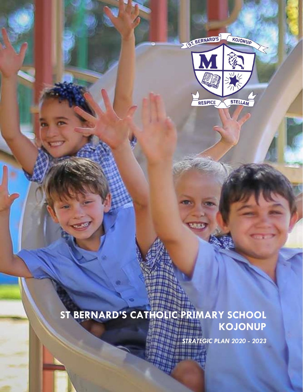

### **ST BERNARD'S CATHOLIC PRIMARY SCHOOL KOJONUP** հա

*STRATEGIC PLAN 2020 - 2023*

**URRA**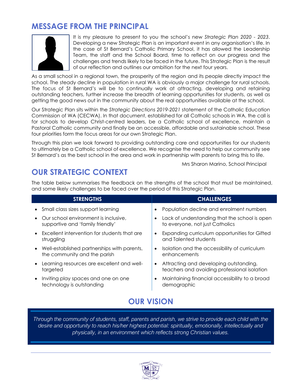### **MESSAGE FROM THE PRINCIPAL**

It is my pleasure to present to you the school's new *Strategic Plan 2020 - 2023*. Developing a new Strategic Plan is an important event in any organisation's life. In the case of St Bernard's Catholic Primary School, it has allowed the Leadership Team, the staff and the School Board, time to reflect on our progress and the challenges and trends likely to be faced in the future. This Strategic Plan is the result of our reflection and outlines our ambition for the next four years.

As a small school in a regional town, the prosperity of the region and its people directly impact the school. The steady decline in population in rural WA is obviously a major challenge for rural schools. The focus of St Bernard's will be to continually work at attracting, developing and retaining outstanding teachers, further increase the breadth of learning opportunities for students, as well as getting the good news out in the community about the real opportunities available at the school.

Our Strategic Plan sits within the *Strategic Directions 2019-2021* statement of the Catholic Education Commission of WA (CECWA). In that document, established for all Catholic schools in WA, the call is for schools to develop Christ-centred leaders, be a Catholic school of excellence, maintain a Pastoral Catholic community and finally be an accessible, affordable and sustainable school. These four priorities form the focus areas for our own Strategic Plan.

Through this plan we look forward to providing outstanding care and opportunities for our students to ultimately be a Catholic school of excellence. We recognise the need to help our community see St Bernard's as the best school in the area and work in partnership with parents to bring this to life.

Mrs Sharon Marino, School Principal

# **OUR STRATEGIC CONTEXT**

The table below summarises the feedback on the strengths of the school that must be maintained, and some likely challenges to be faced over the period of this Strategic Plan.

| <b>STRENGTHS</b>                                       | <b>CHALLENGES</b>                                                                                   |
|--------------------------------------------------------|-----------------------------------------------------------------------------------------------------|
| Small class sizes support learning                     | Population decline and enrolment numbers                                                            |
| Our school environment is inclusive,                   | Lack of understanding that the school is open                                                       |
| supportive and 'family friendly'                       | to everyone, not just Catholics                                                                     |
| Excellent intervention for students that are           | Expanding curriculum opportunities for Gifted                                                       |
| struggling                                             | and Talented students                                                                               |
| Well-established partnerships with parents,            | Isolation and the accessibility of curriculum                                                       |
| the community and the parish                           | enhancements                                                                                        |
| Learning resources are excellent and well-<br>targeted | Attracting and developing outstanding,<br>$\bullet$<br>teachers and avoiding professional isolation |
| Inviting play spaces and one on one                    | Maintaining financial accessibility to a broad                                                      |
| technology is outstanding                              | demographic                                                                                         |
| <b>OUR VISH</b>                                        |                                                                                                     |

*Through the community of students, staff, parents and parish, we strive to provide each child with the desire and opportunity to reach his/her highest potential: spiritually, emotionally, intellectually and physically, in an environment which reflects strong Christian values.*

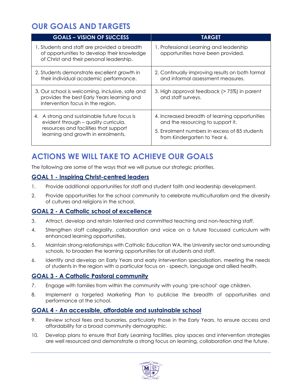# **OUR GOALS AND TARGETS**

| <b>GOALS - VISION OF SUCCESS</b>                                                                                                                                   | <b>TARGET</b>                                                                                                                                                        |
|--------------------------------------------------------------------------------------------------------------------------------------------------------------------|----------------------------------------------------------------------------------------------------------------------------------------------------------------------|
| 1. Students and staff are provided a breadth<br>of opportunities to develop their knowledge<br>of Christ and their personal leadership.                            | 1. Professional Learning and leadership<br>opportunities have been provided.                                                                                         |
| 2. Students demonstrate excellent growth in<br>their individual academic performance.                                                                              | 2. Continually improving results on both formal<br>and informal assessment measures.                                                                                 |
| 3. Our school is welcoming, inclusive, safe and<br>provides the best Early Years learning and<br>intervention focus in the region.                                 | 3. High approval feedback (> 75%) in parent<br>and staff surveys.                                                                                                    |
| 4. A strong and sustainable future focus is<br>evident through - quality curricula,<br>resources and facilities that support<br>learning and growth in enrolments. | 4. Increased breadth of learning opportunities<br>and the resourcing to support it.<br>5. Enrolment numbers in excess of 85 students<br>from Kindergarten to Year 6. |

# **ACTIONS WE WILL TAKE TO ACHIEVE OUR GOALS**

The following are some of the ways that we will pursue our strategic priorities.

### **GOAL 1 - Inspiring Christ-centred leaders**

- 1. Provide additional opportunities for staff and student faith and leadership development.
- 2. Provide opportunities for the school community to celebrate multiculturalism and the diversity of cultures and religions in the school.

#### **GOAL 2 - A Catholic school of excellence**

- 3. Attract, develop and retain talented and committed teaching and non-teaching staff.
- 4. Strengthen staff collegiality, collaboration and voice on a future focussed curriculum with enhanced learning opportunities.
- 5. Maintain strong relationships with Catholic Education WA, the University sector and surrounding schools, to broaden the learning opportunities for all students and staff.
- 6. Identify and develop an Early Years and early intervention specialisation, meeting the needs of students in the region with a particular focus on - speech, language and allied health.

### **GOAL 3 - A Catholic Pastoral community**

- 7. Engage with families from within the community with young 'pre-school' age children.
- 8. Implement a targeted Marketing Plan to publicise the breadth of opportunities and performance at the school.

#### **GOAL 4 - An accessible, affordable and sustainable school**

- 9. Review school fees and bursaries, particularly those in the Early Years, to ensure access and affordability for a broad community demographic.
- 10. Develop plans to ensure that Early Learning facilities, play spaces and intervention strategies are well resourced and demonstrate a strong focus on learning, collaboration and the future.